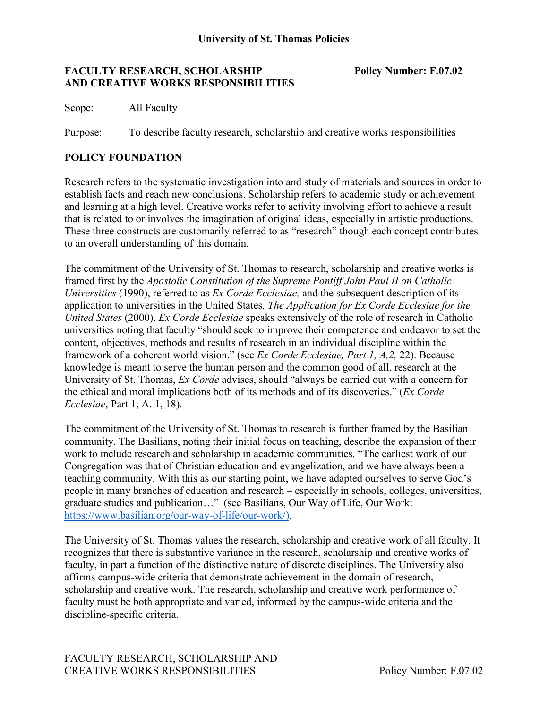#### **FACULTY RESEARCH, SCHOLARSHIP Policy Number: F.07.02 AND CREATIVE WORKS RESPONSIBILITIES**

Scope: All Faculty

Purpose: To describe faculty research, scholarship and creative works responsibilities

## **POLICY FOUNDATION**

Research refers to the systematic investigation into and study of materials and sources in order to establish facts and reach new conclusions. Scholarship refers to academic study or achievement and learning at a high level. Creative works refer to activity involving effort to achieve a result that is related to or involves the imagination of original ideas, especially in artistic productions. These three constructs are customarily referred to as "research" though each concept contributes to an overall understanding of this domain.

The commitment of the University of St. Thomas to research, scholarship and creative works is framed first by the *Apostolic Constitution of the Supreme Pontiff John Paul II on Catholic Universities* (1990), referred to as *Ex Corde Ecclesiae,* and the subsequent description of its application to universities in the United States*, The Application for Ex Corde Ecclesiae for the United States* (2000). *Ex Corde Ecclesiae* speaks extensively of the role of research in Catholic universities noting that faculty "should seek to improve their competence and endeavor to set the content, objectives, methods and results of research in an individual discipline within the framework of a coherent world vision." (see *Ex Corde Ecclesiae, Part 1, A,2,* 22). Because knowledge is meant to serve the human person and the common good of all, research at the University of St. Thomas, *Ex Corde* advises, should "always be carried out with a concern for the ethical and moral implications both of its methods and of its discoveries." (*Ex Corde Ecclesiae*, Part 1, A. 1, 18).

The commitment of the University of St. Thomas to research is further framed by the Basilian community. The Basilians, noting their initial focus on teaching, describe the expansion of their work to include research and scholarship in academic communities. "The earliest work of our Congregation was that of Christian education and evangelization, and we have always been a teaching community. With this as our starting point, we have adapted ourselves to serve God's people in many branches of education and research – especially in schools, colleges, universities, graduate studies and publication…" (see Basilians, Our Way of Life, Our Work: [https://www.basilian.org/our-way-of-life/our-work/\).](https://www.basilian.org/our-way-of-life/our-work/))

The University of St. Thomas values the research, scholarship and creative work of all faculty. It recognizes that there is substantive variance in the research, scholarship and creative works of faculty, in part a function of the distinctive nature of discrete disciplines. The University also affirms campus-wide criteria that demonstrate achievement in the domain of research, scholarship and creative work. The research, scholarship and creative work performance of faculty must be both appropriate and varied, informed by the campus-wide criteria and the discipline-specific criteria.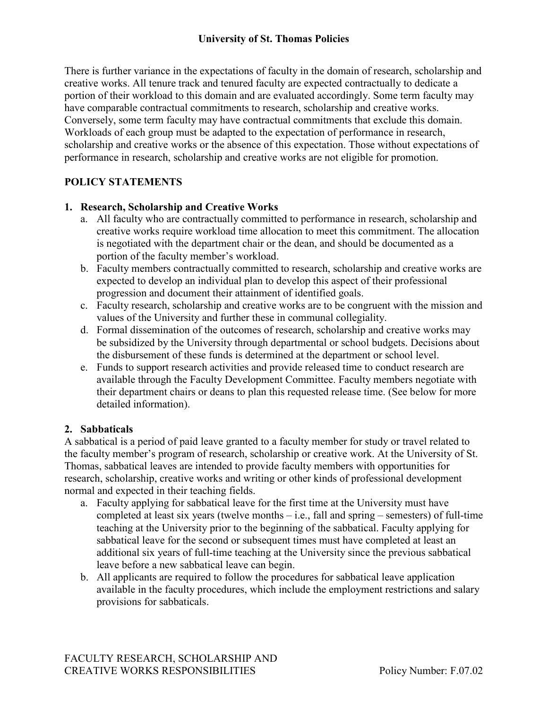## **University of St. Thomas Policies**

There is further variance in the expectations of faculty in the domain of research, scholarship and creative works. All tenure track and tenured faculty are expected contractually to dedicate a portion of their workload to this domain and are evaluated accordingly. Some term faculty may have comparable contractual commitments to research, scholarship and creative works. Conversely, some term faculty may have contractual commitments that exclude this domain. Workloads of each group must be adapted to the expectation of performance in research, scholarship and creative works or the absence of this expectation. Those without expectations of performance in research, scholarship and creative works are not eligible for promotion.

# **POLICY STATEMENTS**

## **1. Research, Scholarship and Creative Works**

- a. All faculty who are contractually committed to performance in research, scholarship and creative works require workload time allocation to meet this commitment. The allocation is negotiated with the department chair or the dean, and should be documented as a portion of the faculty member's workload.
- b. Faculty members contractually committed to research, scholarship and creative works are expected to develop an individual plan to develop this aspect of their professional progression and document their attainment of identified goals.
- c. Faculty research, scholarship and creative works are to be congruent with the mission and values of the University and further these in communal collegiality.
- d. Formal dissemination of the outcomes of research, scholarship and creative works may be subsidized by the University through departmental or school budgets. Decisions about the disbursement of these funds is determined at the department or school level.
- e. Funds to support research activities and provide released time to conduct research are available through the Faculty Development Committee. Faculty members negotiate with their department chairs or deans to plan this requested release time. (See below for more detailed information).

## **2. Sabbaticals**

A sabbatical is a period of paid leave granted to a faculty member for study or travel related to the faculty member's program of research, scholarship or creative work. At the University of St. Thomas, sabbatical leaves are intended to provide faculty members with opportunities for research, scholarship, creative works and writing or other kinds of professional development normal and expected in their teaching fields.

- a. Faculty applying for sabbatical leave for the first time at the University must have completed at least six years (twelve months – i.e., fall and spring – semesters) of full-time teaching at the University prior to the beginning of the sabbatical. Faculty applying for sabbatical leave for the second or subsequent times must have completed at least an additional six years of full-time teaching at the University since the previous sabbatical leave before a new sabbatical leave can begin.
- b. All applicants are required to follow the procedures for sabbatical leave application available in the faculty procedures, which include the employment restrictions and salary provisions for sabbaticals.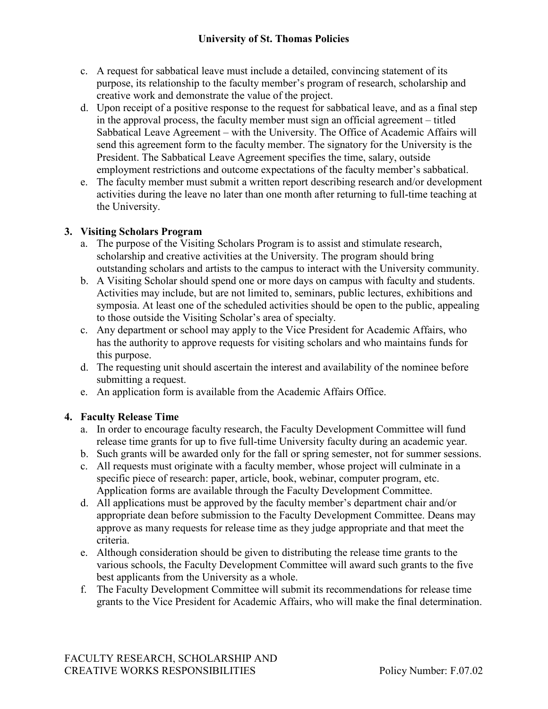## **University of St. Thomas Policies**

- c. A request for sabbatical leave must include a detailed, convincing statement of its purpose, its relationship to the faculty member's program of research, scholarship and creative work and demonstrate the value of the project.
- d. Upon receipt of a positive response to the request for sabbatical leave, and as a final step in the approval process, the faculty member must sign an official agreement – titled Sabbatical Leave Agreement – with the University. The Office of Academic Affairs will send this agreement form to the faculty member. The signatory for the University is the President. The Sabbatical Leave Agreement specifies the time, salary, outside employment restrictions and outcome expectations of the faculty member's sabbatical.
- e. The faculty member must submit a written report describing research and/or development activities during the leave no later than one month after returning to full-time teaching at the University.

## **3. Visiting Scholars Program**

- a. The purpose of the Visiting Scholars Program is to assist and stimulate research, scholarship and creative activities at the University. The program should bring outstanding scholars and artists to the campus to interact with the University community.
- b. A Visiting Scholar should spend one or more days on campus with faculty and students. Activities may include, but are not limited to, seminars, public lectures, exhibitions and symposia. At least one of the scheduled activities should be open to the public, appealing to those outside the Visiting Scholar's area of specialty.
- c. Any department or school may apply to the Vice President for Academic Affairs, who has the authority to approve requests for visiting scholars and who maintains funds for this purpose.
- d. The requesting unit should ascertain the interest and availability of the nominee before submitting a request.
- e. An application form is available from the Academic Affairs Office.

## **4. Faculty Release Time**

- a. In order to encourage faculty research, the Faculty Development Committee will fund release time grants for up to five full-time University faculty during an academic year.
- b. Such grants will be awarded only for the fall or spring semester, not for summer sessions.
- c. All requests must originate with a faculty member, whose project will culminate in a specific piece of research: paper, article, book, webinar, computer program, etc. Application forms are available through the Faculty Development Committee.
- d. All applications must be approved by the faculty member's department chair and/or appropriate dean before submission to the Faculty Development Committee. Deans may approve as many requests for release time as they judge appropriate and that meet the criteria.
- e. Although consideration should be given to distributing the release time grants to the various schools, the Faculty Development Committee will award such grants to the five best applicants from the University as a whole.
- f. The Faculty Development Committee will submit its recommendations for release time grants to the Vice President for Academic Affairs, who will make the final determination.